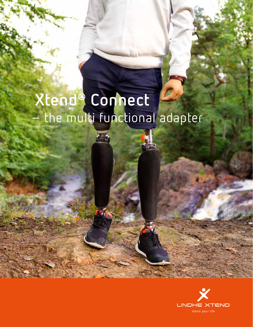# Xtend® Connect<br>- the multi functional adapter

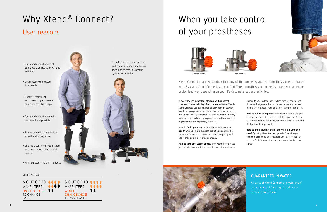



# Why Xtend® Connect? User reasons





Xtend Connect is a new solution to many of the problems you as a prosthesis user are faced with. By using Xtend Connect, you can fit different prosthesis components together in a unique, customized way, depending on your life circumstances and activities.

# When you take control of your prostheses



**Is everyday life a constant struggle with constant changes of prosthetic legs for different activities?** With Xtend Connect, you can change quickly from an activity foot to an everyday foot and keep the same socket, so you don't need to carry complete sets around. Change quickly between high heels and everyday foot – without disturbing the important alignment, of course.

- Quick and easy changes of complete prosthetics for various activities
- Get dressed/undressed in a minute
- Handy for travelling – no need to pack several complete prosthetic legs
- Quick and easy change with only one hand possible
- Safe usage with safety button as well as locking wheel
- Change a complete foot instead of shoes – much simpler and quicker
- All integrated no parts to loose

**Hard to find a good socket, and the copy is never as good?** Once you have the right socket, you can use the same one for several different activities, by quickly and easily changing the other components.

**Hard to take off outdoor shoes?** With Xtend Connect you just quickly disconnect the foot with the outdoor shoe and



### **GUARANTEED IN WATER**

All parts of Xtend Connect are water proof and guaranteed for usage in both salt-, pool- and freshwater.

change to your indoor foot – which then, of course, has the correct alignment for indoor use. Easier and quicker than taking outdoor shoes on and off stiff prosthetic feet.

**Hard to put on tight pants?** With Xtend Connect you just quickly disconnect the foot and pull the pants on. With a quick movement of one hand, the foot is back in place and the tight pants fit perfectly.

**Hard to find enough room for everything in your suitcase?** By using Xtend Connect, you don't need to pack complete prosthetic legs. Just take your bathing foot or an extra foot for excursions, and you are all set to travel lighter.



• Fits all types of users, both uniand bilaterial, above and below knee, and to most prosthetic systems used today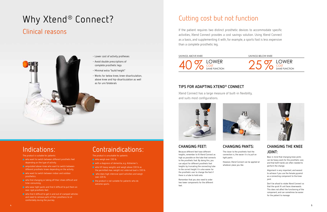# **CHANGING PANTS:**

The closer to the prosthetic foot the connection is, the easier it is to pull on

tight pants.

However, Xtend Connect can be applied at whatever place you like.



# **CHANGING THE KNEE JOINT:**

Bear in mind that changing knee joints can be heavy work for the prosthetic user, and that both hands are often needed to perform the change.

Alignment is very important, and easiest to achieve if you use the female pyramid as a connecting component to the knee joint.

Don't be afraid to rotate Xtend Connect so that the quick fit unit faces downwards. This does not affect the functioning of the component, and can sometimes be easier for the patient to manage.

# **CHANGING FEET:**

Because different feet have different heights, remember to fit Xtend Connect as high as possible on the tube that connects to the prosthetic foot. By doing this, you can adjust for different prosthetic foot heights by truncating the connecting tube to the correct height. It is also easier for the prosthetic user to change the foot if there is a tube to hold onto.

Remember that you also need to order two lower components for the different feet.

- who want to switch between different prosthetic feet depending on the type of activity.
- **a** amputated above-knee who want to switch between different prosthetic knees depending on the activity.
- who want to switch between indoor and outdoor prosthetics.
- who find changing or taking off their shoes difficult and time-consuming.
- who wear tight pants and find it difficult to put them on over rigid prosthetic feet.
- who find it difficult to get in and out of cramped vehicles and need to remove parts of their prosthesis to sit comfortably during the journey.

# **TIPS FOR ADAPTING XTEND® CONNECT**

Xtend Connect has a large measure of built-in flexibility, and suits most configurations.





# Cutting cost but not function

### SAVINGS ABOVE KNEE

- who weigh over 330 lb.
- with a diagnosis of dementia, e.g. Alzheimer's.
- who lift heavy weights and weigh above 330 lb as the permitted max. weight incl. external load is 330 lb.
- who does high intensive sport activities and weigh over 220 lb.
- the product is not suitable for patients who do extreme sports.



SAVINGS BELOW KNEE





# Clinical reasons



- Lower cost of activity protheses
- Avoid double prescriptions of complete prosthetic legs
- Minimal extra "build height"
- Works for below knee, knee-disarticulation, above knee and hip-disarticulation as well as for uni/bilaterals

# Indications:

The product is suitable for patients:

# Contraindications:

The product is unsuitable for patients:

# Why Xtend® Connect?

If the patient requires two distinct prosthetic devices to accommodate specific activities, Xtend Connect provides a cost savings solution. Using Xtend Connect as a basis, and supplementing it with, for example, a sports foot is less expensive than a complete prosthetic leg.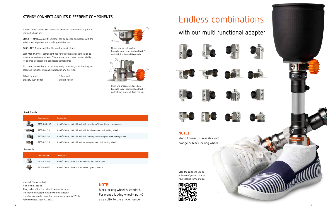

A basic Xtend Connect set consists of two main components, a quick fit unit and a base unit.

**QUICK FIT UNIT.** A quick fit unit that can be opened and closed with the aid of a locking wheel and a safety push-button.

**BASE UNIT.** A base unit that fits into the quick fit unit.

Each Xtend Connect component has various options for connection to other prosthesis components. There are several connections available, for optimal adaptation to connected components.

All connection solutions can also be freely combined, as in the diagram below. All components can be rotated in any direction.

### **XTEND® CONNECT AND ITS DIFFERENT COMPONENTS**

A) Locking wheel B) Safety push-button C) Base unit D) Quick fit unit Closed and locked position. Example shows combination Quick Fit unit with 4 holes and Base Male.





Open and unconnected position. Example shows combination Quick Fit unit 30 mm tube and Base Female.

Material: Stainless steel Max. weight: 330 lb Always check that the patient's weight is correct. The maximum weight must never be exceeded. For intensive sports users, the maximum weight is 220 lb. Recommended L-code: L 5617.

# Endless combinations

### **NOTE!**

Xtend Connect is available with orange or black locking wheel.

# with our multi functional adapter











| Item number | <b>Description</b>                                   |
|-------------|------------------------------------------------------|
| A100-BF-150 | Xtend® Connect base unit with female pyramid adapter |
| A100-BM-150 | Xtend® Connect base unit with male pyramid adapter   |

**Base units**

### **NOTE!**

Black locking wheel is standard. For orange locking wheel– put -O as a suffix to the article number.





**Scan the code** and use our online configurator to build your specific configuration!



|  | Item number  | <b>Description</b>                                                             |
|--|--------------|--------------------------------------------------------------------------------|
|  | A100-Q30-150 | Xtend® Connect quick fit unit with tube clamp 30 mm, black locking wheel       |
|  | A100-Q4-150  | Xtend® Connect quick fit unit with 4-hole adapter, black locking wheel         |
|  | A100-QF-150  | Xtend® Connect quick fit unit with female pyramid adapter, black locking wheel |
|  | A100-QP-150  | Xtend® Connect quick fit unit for prong adapter, black locking wheel           |

### **Quick fit units**